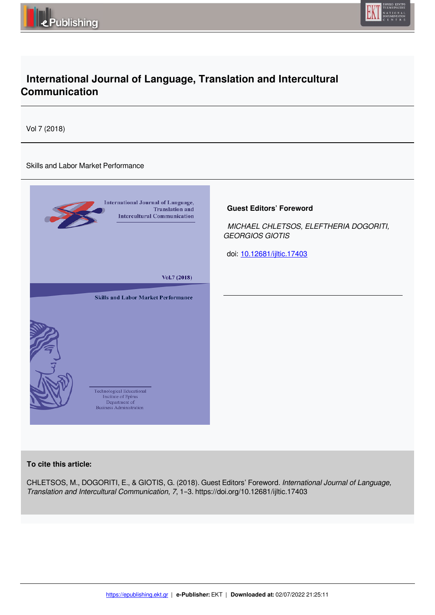



# **International Journal of Language, Translation and Intercultural Communication**

Vol 7 (2018)

## Skills and Labor Market Performance



## **To cite this article:**

CHLETSOS, M., DOGORITI, E., & GIOTIS, G. (2018). Guest Editors' Foreword. *International Journal of Language, Translation and Intercultural Communication*, *7*, 1–3. https://doi.org/10.12681/ijltic.17403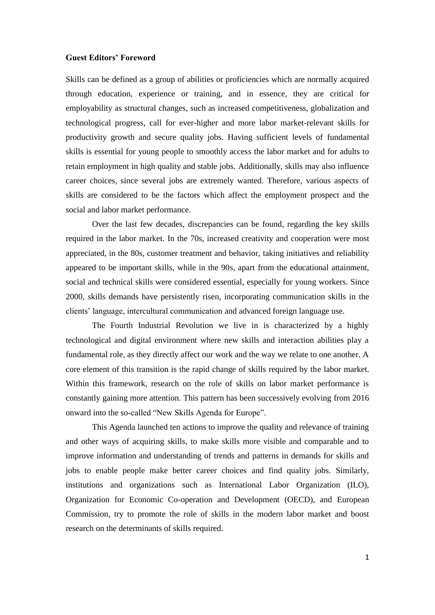## **Guest Editors' Foreword**

Skills can be defined as a group of abilities or proficiencies which are normally acquired through education, experience or training, and in essence, they are critical for employability as structural changes, such as increased competitiveness, globalization and technological progress, call for ever-higher and more labor market-relevant skills for productivity growth and secure quality jobs. Having sufficient levels of fundamental skills is essential for young people to smoothly access the labor market and for adults to retain employment in high quality and stable jobs. Additionally, skills may also influence career choices, since several jobs are extremely wanted. Therefore, various aspects of skills are considered to be the factors which affect the employment prospect and the social and labor market performance.

Over the last few decades, discrepancies can be found, regarding the key skills required in the labor market. In the 70s, increased creativity and cooperation were most appreciated, in the 80s, customer treatment and behavior, taking initiatives and reliability appeared to be important skills, while in the 90s, apart from the educational attainment, social and technical skills were considered essential, especially for young workers. Since 2000, skills demands have persistently risen, incorporating communication skills in the clients' language, intercultural communication and advanced foreign language use.

The Fourth Industrial Revolution we live in is characterized by a highly technological and digital environment where new skills and interaction abilities play a fundamental role, as they directly affect our work and the way we relate to one another. A core element of this transition is the rapid change of skills required by the labor market. Within this framework, research on the role of skills on labor market performance is constantly gaining more attention. This pattern has been successively evolving from 2016 onward into the so-called "New Skills Agenda for Europe".

This Agenda launched ten actions to improve the quality and relevance of training and other ways of acquiring skills, to make skills more visible and comparable and to improve information and understanding of trends and patterns in demands for skills and jobs to enable people make better career choices and find quality jobs. Similarly, institutions and organizations such as International Labor Organization (ILO), Organization for Economic Co-operation and Development (OECD), and European Commission, try to promote the role of skills in the modern labor market and boost research on the determinants of skills required.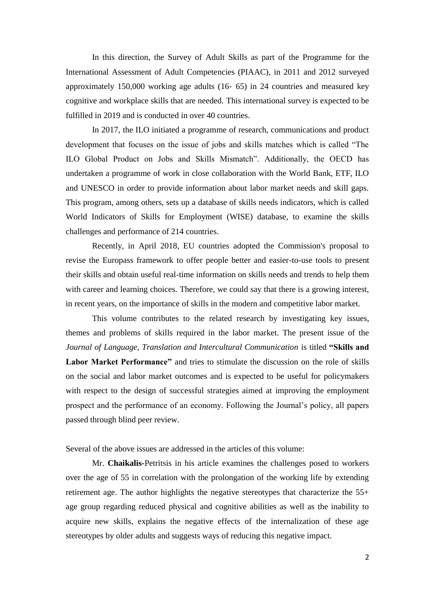In this direction, the Survey of Adult Skills as part of the Programme for the International Assessment of Adult Competencies (PIAAC), in 2011 and 2012 surveyed approximately 150,000 working age adults (16‐ 65) in 24 countries and measured key cognitive and workplace skills that are needed. This international survey is expected to be fulfilled in 2019 and is conducted in over 40 countries.

In 2017, the ILO initiated a programme of research, communications and product development that focuses on the issue of jobs and skills matches which is called "The ILO Global Product on Jobs and Skills Mismatch". Additionally, the OECD has undertaken a programme of work in close collaboration with the World Bank, ETF, ILO and UNESCO in order to provide information about labor market needs and skill gaps. This program, among others, sets up a database of skills needs indicators, which is called World Indicators of Skills for Employment (WISE) database, to examine the skills challenges and performance of 214 countries.

Recently, in April 2018, EU countries adopted the Commission's proposal to revise the Europass framework to offer people better and easier-to-use tools to present their skills and obtain useful real-time information on skills needs and trends to help them with career and learning choices. Therefore, we could say that there is a growing interest, in recent years, on the importance of skills in the modern and competitive labor market.

This volume contributes to the related research by investigating key issues, themes and problems of skills required in the labor market. The present issue of the *Journal of Language, Translation and Intercultural Communication* is titled **"Skills and Labor Market Performance"** and tries to stimulate the discussion on the role of skills on the social and labor market outcomes and is expected to be useful for policymakers with respect to the design of successful strategies aimed at improving the employment prospect and the performance of an economy. Following the Journal's policy, all papers passed through blind peer review.

Several of the above issues are addressed in the articles of this volume:

Mr. **Chaikalis-**Petritsis in his article examines the challenges posed to workers over the age of 55 in correlation with the prolongation of the working life by extending retirement age. The author highlights the negative stereotypes that characterize the 55+ age group regarding reduced physical and cognitive abilities as well as the inability to acquire new skills, explains the negative effects of the internalization of these age stereotypes by older adults and suggests ways of reducing this negative impact.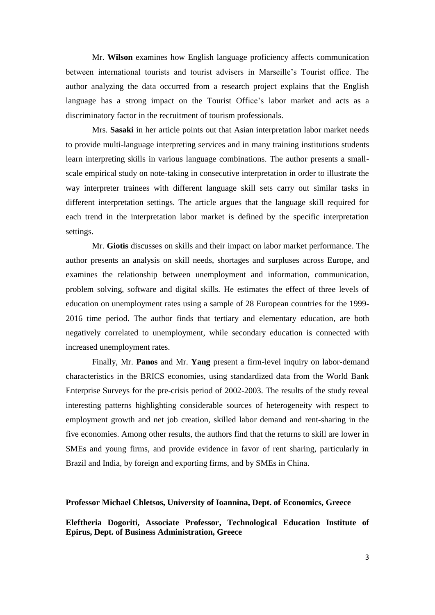Mr. **Wilson** examines how English language proficiency affects communication between international tourists and tourist advisers in Marseille's Tourist office. The author analyzing the data occurred from a research project explains that the English language has a strong impact on the Tourist Office's labor market and acts as a discriminatory factor in the recruitment of tourism professionals.

Mrs. **Sasaki** in her article points out that Asian interpretation labor market needs to provide multi-language interpreting services and in many training institutions students learn interpreting skills in various language combinations. The author presents a smallscale empirical study on note-taking in consecutive interpretation in order to illustrate the way interpreter trainees with different language skill sets carry out similar tasks in different interpretation settings. The article argues that the language skill required for each trend in the interpretation labor market is defined by the specific interpretation settings.

Mr. **Giotis** discusses on skills and their impact on labor market performance. The author presents an analysis on skill needs, shortages and surpluses across Europe, and examines the relationship between unemployment and information, communication, problem solving, software and digital skills. He estimates the effect of three levels of education on unemployment rates using a sample of 28 European countries for the 1999- 2016 time period. The author finds that tertiary and elementary education, are both negatively correlated to unemployment, while secondary education is connected with increased unemployment rates.

Finally, Mr. **Panos** and Mr. **Yang** present a firm-level inquiry on labor-demand characteristics in the BRICS economies, using standardized data from the World Bank Enterprise Surveys for the pre-crisis period of 2002-2003. The results of the study reveal interesting patterns highlighting considerable sources of heterogeneity with respect to employment growth and net job creation, skilled labor demand and rent-sharing in the five economies. Among other results, the authors find that the returns to skill are lower in SMEs and young firms, and provide evidence in favor of rent sharing, particularly in Brazil and India, by foreign and exporting firms, and by SMEs in China.

#### **Professor Michael Chletsos, University of Ioannina, Dept. of Economics, Greece**

**Eleftheria Dogoriti, Associate Professor, Technological Education Institute of Epirus, Dept. of Business Administration, Greece**